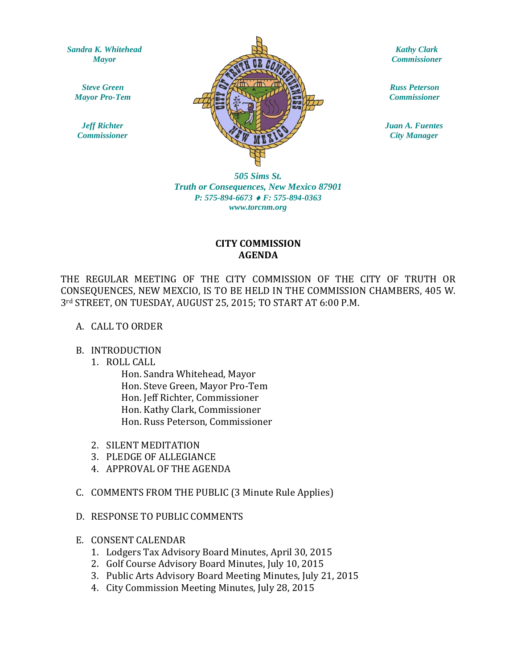*Sandra K. Whitehead Mayor*

*Steve Green Mayor Pro-Tem*

*Jeff Richter Commissioner*



*Kathy Clark Commissioner*

*Russ Peterson Commissioner*

*Juan A. Fuentes City Manager*

*505 Sims St. Truth or Consequences, New Mexico 87901 P: 575-894-6673* ♦ *F: 575-894-0363 www.torcnm.org*

## **CITY COMMISSION AGENDA**

THE REGULAR MEETING OF THE CITY COMMISSION OF THE CITY OF TRUTH OR CONSEQUENCES, NEW MEXCIO, IS TO BE HELD IN THE COMMISSION CHAMBERS, 405 W. 3rd STREET, ON TUESDAY, AUGUST 25, 2015; TO START AT 6:00 P.M.

#### A. CALL TO ORDER

#### B. INTRODUCTION

1. ROLL CALL

Hon. Sandra Whitehead, Mayor Hon. Steve Green, Mayor Pro-Tem Hon. Jeff Richter, Commissioner Hon. Kathy Clark, Commissioner Hon. Russ Peterson, Commissioner

- 2. SILENT MEDITATION
- 3. PLEDGE OF ALLEGIANCE
- 4. APPROVAL OF THE AGENDA
- C. COMMENTS FROM THE PUBLIC (3 Minute Rule Applies)
- D. RESPONSE TO PUBLIC COMMENTS
- E. CONSENT CALENDAR
	- 1. Lodgers Tax Advisory Board Minutes, April 30, 2015
	- 2. Golf Course Advisory Board Minutes, July 10, 2015
	- 3. Public Arts Advisory Board Meeting Minutes, July 21, 2015
	- 4. City Commission Meeting Minutes, July 28, 2015